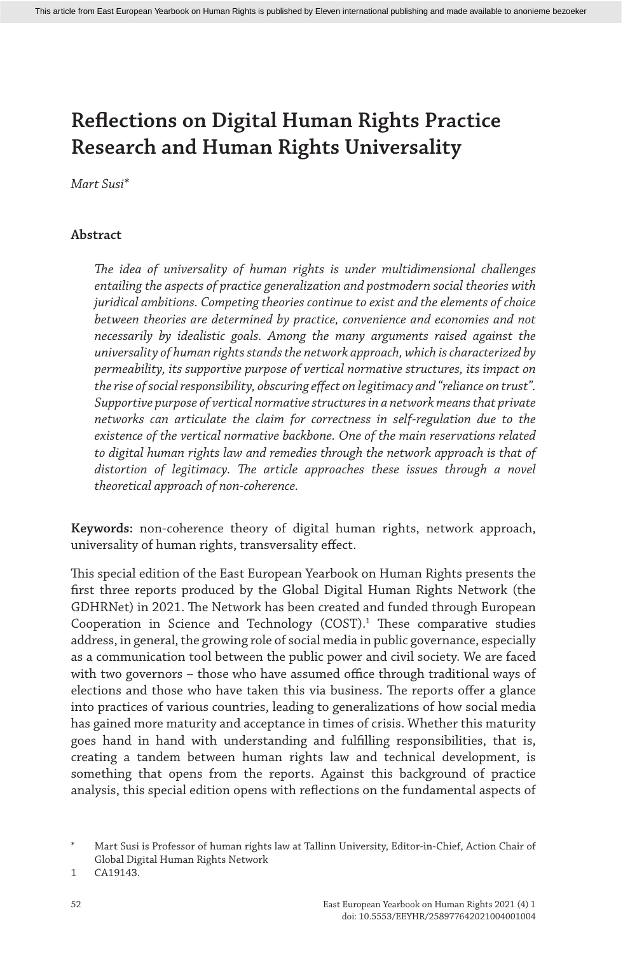*Mart Susi\**

## **Abstract**

*The idea of universality of human rights is under multidimensional challenges entailing the aspects of practice generalization and postmodern social theories with juridical ambitions. Competing theories continue to exist and the elements of choice between theories are determined by practice, convenience and economies and not necessarily by idealistic goals. Among the many arguments raised against the universality of human rights stands the network approach, which is characterized by permeability, its supportive purpose of vertical normative structures, its impact on the rise of social responsibility, obscuring effect on legitimacy and "reliance on trust". Supportive purpose of vertical normative structures in a network means that private networks can articulate the claim for correctness in self-regulation due to the existence of the vertical normative backbone. One of the main reservations related to digital human rights law and remedies through the network approach is that of distortion of legitimacy. The article approaches these issues through a novel theoretical approach of non-coherence.*

**Keywords:** non-coherence theory of digital human rights, network approach, universality of human rights, transversality effect.

This special edition of the East European Yearbook on Human Rights presents the first three reports produced by the Global Digital Human Rights Network (the GDHRNet) in 2021. The Network has been created and funded through European Cooperation in Science and Technology  $(COST)$ .<sup>1</sup> These comparative studies address, in general, the growing role of social media in public governance, especially as a communication tool between the public power and civil society. We are faced with two governors – those who have assumed office through traditional ways of elections and those who have taken this via business. The reports offer a glance into practices of various countries, leading to generalizations of how social media has gained more maturity and acceptance in times of crisis. Whether this maturity goes hand in hand with understanding and fulfilling responsibilities, that is, creating a tandem between human rights law and technical development, is something that opens from the reports. Against this background of practice analysis, this special edition opens with reflections on the fundamental aspects of

Mart Susi is Professor of human rights law at Tallinn University, Editor-in-Chief, Action Chair of Global Digital Human Rights Network

<sup>1</sup> CA19143.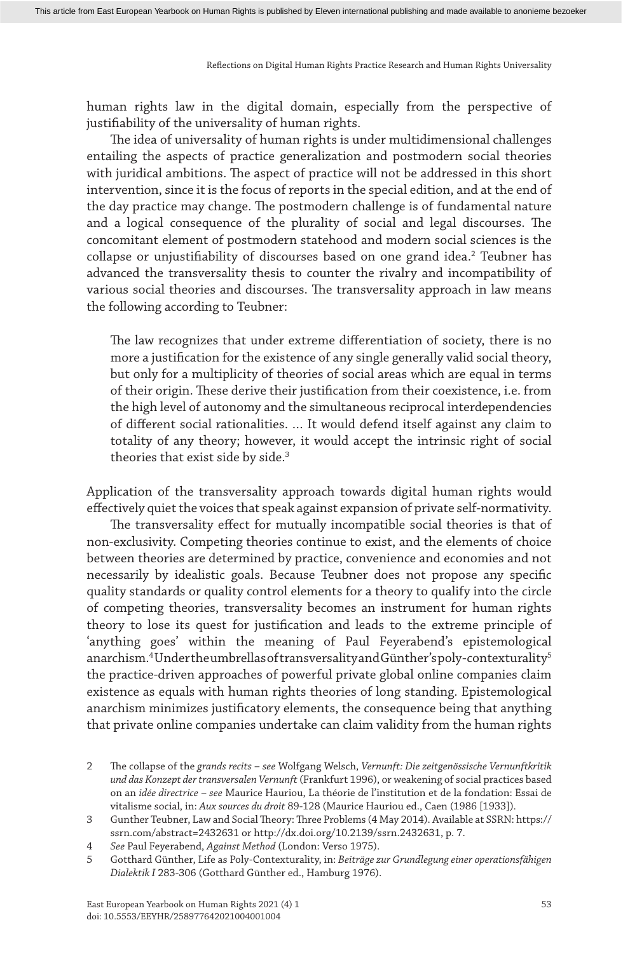human rights law in the digital domain, especially from the perspective of justifiability of the universality of human rights.

The idea of universality of human rights is under multidimensional challenges entailing the aspects of practice generalization and postmodern social theories with juridical ambitions. The aspect of practice will not be addressed in this short intervention, since it is the focus of reports in the special edition, and at the end of the day practice may change. The postmodern challenge is of fundamental nature and a logical consequence of the plurality of social and legal discourses. The concomitant element of postmodern statehood and modern social sciences is the collapse or unjustifiability of discourses based on one grand idea.<sup>2</sup> Teubner has advanced the transversality thesis to counter the rivalry and incompatibility of various social theories and discourses. The transversality approach in law means the following according to Teubner:

The law recognizes that under extreme differentiation of society, there is no more a justification for the existence of any single generally valid social theory, but only for a multiplicity of theories of social areas which are equal in terms of their origin. These derive their justification from their coexistence, i.e. from the high level of autonomy and the simultaneous reciprocal interdependencies of different social rationalities. … It would defend itself against any claim to totality of any theory; however, it would accept the intrinsic right of social theories that exist side by side.<sup>3</sup>

Application of the transversality approach towards digital human rights would effectively quiet the voices that speak against expansion of private self-normativity.

The transversality effect for mutually incompatible social theories is that of non-exclusivity. Competing theories continue to exist, and the elements of choice between theories are determined by practice, convenience and economies and not necessarily by idealistic goals. Because Teubner does not propose any specific quality standards or quality control elements for a theory to qualify into the circle of competing theories, transversality becomes an instrument for human rights theory to lose its quest for justification and leads to the extreme principle of 'anything goes' within the meaning of Paul Feyerabend's epistemological anarchism.<sup>4</sup>Undertheumbrellas of transversality and Günther's poly-contexturality<sup>5</sup> the practice-driven approaches of powerful private global online companies claim existence as equals with human rights theories of long standing. Epistemological anarchism minimizes justificatory elements, the consequence being that anything that private online companies undertake can claim validity from the human rights

<sup>2</sup> The collapse of the *grands recits* – *see* Wolfgang Welsch, *Vernunft: Die zeitgenössische Vernunftkritik und das Konzept der transversalen Vernunft* (Frankfurt 1996), or weakening of social practices based on an *idée directrice* – *see* Maurice Hauriou, La théorie de l'institution et de la fondation: Essai de vitalisme social, in: *Aux sources du droit* 89-128 (Maurice Hauriou ed., Caen (1986 [1933]).

<sup>3</sup> Gunther Teubner, Law and Social Theory: Three Problems (4 May 2014). Available at SSRN: https:// ssrn.com/abstract=2432631 or http://dx.doi.org/10.2139/ssrn.2432631, p. 7.

<sup>4</sup> *See* Paul Feyerabend, *Against Method* (London: Verso 1975).

<sup>5</sup> Gotthard Günther, Life as Poly-Contexturality, in: *Beiträge zur Grundlegung einer operationsfähigen Dialektik I* 283-306 (Gotthard Günther ed., Hamburg 1976).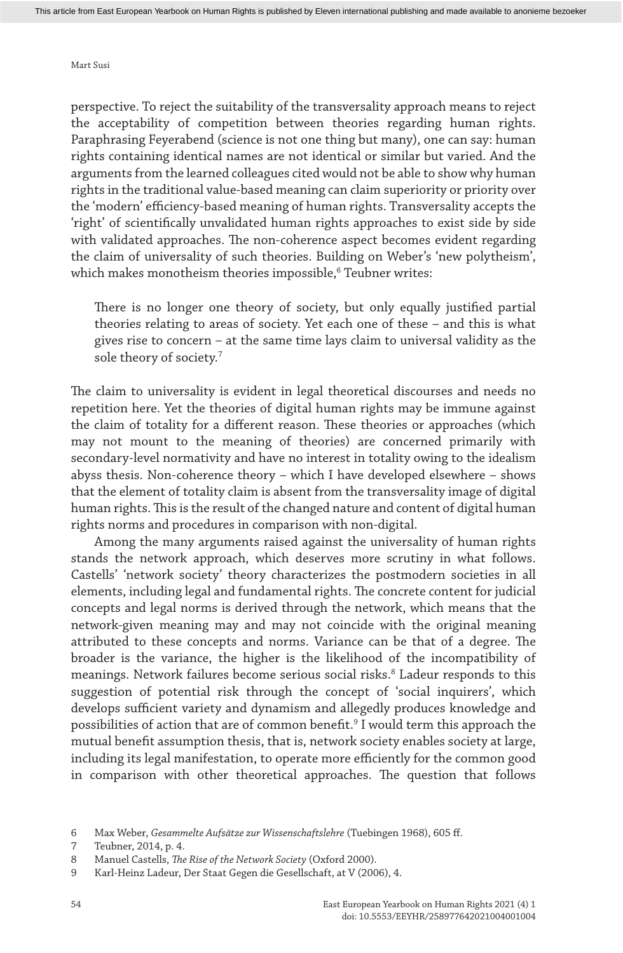Mart Susi

perspective. To reject the suitability of the transversality approach means to reject the acceptability of competition between theories regarding human rights. Paraphrasing Feyerabend (science is not one thing but many), one can say: human rights containing identical names are not identical or similar but varied. And the arguments from the learned colleagues cited would not be able to show why human rights in the traditional value-based meaning can claim superiority or priority over the 'modern' efficiency-based meaning of human rights. Transversality accepts the 'right' of scientifically unvalidated human rights approaches to exist side by side with validated approaches. The non-coherence aspect becomes evident regarding the claim of universality of such theories. Building on Weber's 'new polytheism', which makes monotheism theories impossible, $^{\rm 6}$  Teubner writes:

There is no longer one theory of society, but only equally justified partial theories relating to areas of society. Yet each one of these – and this is what gives rise to concern – at the same time lays claim to universal validity as the sole theory of society.7

The claim to universality is evident in legal theoretical discourses and needs no repetition here. Yet the theories of digital human rights may be immune against the claim of totality for a different reason. These theories or approaches (which may not mount to the meaning of theories) are concerned primarily with secondary-level normativity and have no interest in totality owing to the idealism abyss thesis. Non-coherence theory – which I have developed elsewhere – shows that the element of totality claim is absent from the transversality image of digital human rights. This is the result of the changed nature and content of digital human rights norms and procedures in comparison with non-digital.

Among the many arguments raised against the universality of human rights stands the network approach, which deserves more scrutiny in what follows. Castells' 'network society' theory characterizes the postmodern societies in all elements, including legal and fundamental rights. The concrete content for judicial concepts and legal norms is derived through the network, which means that the network-given meaning may and may not coincide with the original meaning attributed to these concepts and norms. Variance can be that of a degree. The broader is the variance, the higher is the likelihood of the incompatibility of meanings. Network failures become serious social risks.<sup>8</sup> Ladeur responds to this suggestion of potential risk through the concept of 'social inquirers', which develops sufficient variety and dynamism and allegedly produces knowledge and possibilities of action that are of common benefit.<sup>9</sup> I would term this approach the mutual benefit assumption thesis, that is, network society enables society at large, including its legal manifestation, to operate more efficiently for the common good in comparison with other theoretical approaches. The question that follows

<sup>6</sup> Max Weber, *Gesammelte Aufsätze zur Wissenschaftslehre* (Tuebingen 1968), 605 ff.

<sup>7</sup> Teubner, 2014, p. 4.

<sup>8</sup> Manuel Castells, *The Rise of the Network Society* (Oxford 2000).

<sup>9</sup> Karl-Heinz Ladeur, Der Staat Gegen die Gesellschaft, at V (2006), 4.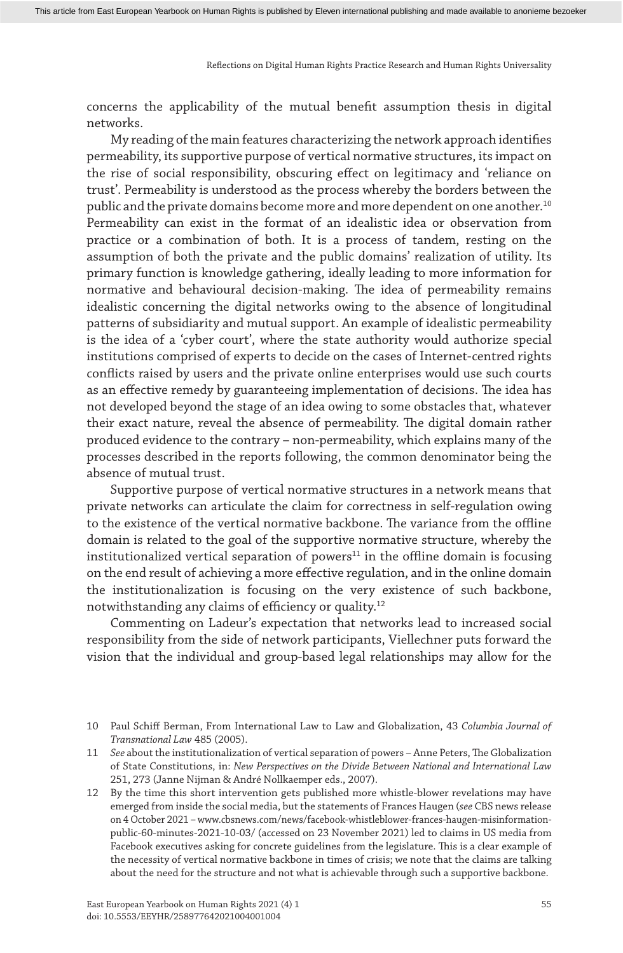concerns the applicability of the mutual benefit assumption thesis in digital networks.

My reading of the main features characterizing the network approach identifies permeability, its supportive purpose of vertical normative structures, its impact on the rise of social responsibility, obscuring effect on legitimacy and 'reliance on trust'. Permeability is understood as the process whereby the borders between the public and the private domains become more and more dependent on one another.10 Permeability can exist in the format of an idealistic idea or observation from practice or a combination of both. It is a process of tandem, resting on the assumption of both the private and the public domains' realization of utility. Its primary function is knowledge gathering, ideally leading to more information for normative and behavioural decision-making. The idea of permeability remains idealistic concerning the digital networks owing to the absence of longitudinal patterns of subsidiarity and mutual support. An example of idealistic permeability is the idea of a 'cyber court', where the state authority would authorize special institutions comprised of experts to decide on the cases of Internet-centred rights conflicts raised by users and the private online enterprises would use such courts as an effective remedy by guaranteeing implementation of decisions. The idea has not developed beyond the stage of an idea owing to some obstacles that, whatever their exact nature, reveal the absence of permeability. The digital domain rather produced evidence to the contrary – non-permeability, which explains many of the processes described in the reports following, the common denominator being the absence of mutual trust.

Supportive purpose of vertical normative structures in a network means that private networks can articulate the claim for correctness in self-regulation owing to the existence of the vertical normative backbone. The variance from the offline domain is related to the goal of the supportive normative structure, whereby the institutionalized vertical separation of powers $11$  in the offline domain is focusing on the end result of achieving a more effective regulation, and in the online domain the institutionalization is focusing on the very existence of such backbone, notwithstanding any claims of efficiency or quality.12

Commenting on Ladeur's expectation that networks lead to increased social responsibility from the side of network participants, Viellechner puts forward the vision that the individual and group-based legal relationships may allow for the

<sup>10</sup> Paul Schiff Berman, From International Law to Law and Globalization, 43 *Columbia Journal of Transnational Law* 485 (2005).

<sup>11</sup> *See* about the institutionalization of vertical separation of powers – Anne Peters, The Globalization of State Constitutions, in: *New Perspectives on the Divide Between National and International Law* 251, 273 (Janne Nijman & André Nollkaemper eds., 2007).

<sup>12</sup> By the time this short intervention gets published more whistle-blower revelations may have emerged from inside the social media, but the statements of Frances Haugen (*see* CBS news release on 4 October 2021 – www.cbsnews.com/news/facebook-whistleblower-frances-haugen-misinformationpublic-60-minutes-2021-10-03/ (accessed on 23 November 2021) led to claims in US media from Facebook executives asking for concrete guidelines from the legislature. This is a clear example of the necessity of vertical normative backbone in times of crisis; we note that the claims are talking about the need for the structure and not what is achievable through such a supportive backbone.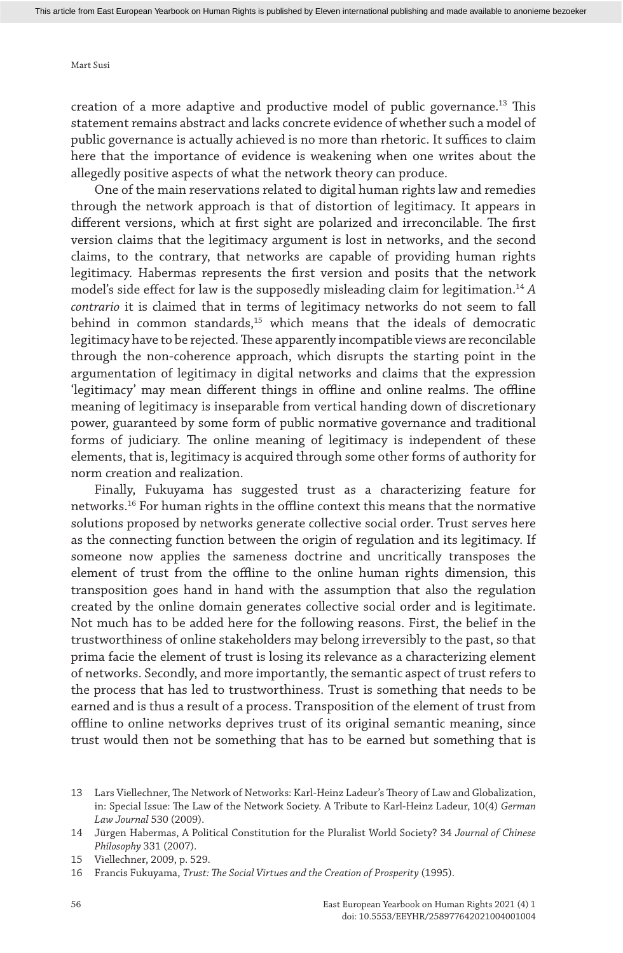## Mart Susi

creation of a more adaptive and productive model of public governance.13 This statement remains abstract and lacks concrete evidence of whether such a model of public governance is actually achieved is no more than rhetoric. It suffices to claim here that the importance of evidence is weakening when one writes about the allegedly positive aspects of what the network theory can produce.

One of the main reservations related to digital human rights law and remedies through the network approach is that of distortion of legitimacy. It appears in different versions, which at first sight are polarized and irreconcilable. The first version claims that the legitimacy argument is lost in networks, and the second claims, to the contrary, that networks are capable of providing human rights legitimacy. Habermas represents the first version and posits that the network model's side effect for law is the supposedly misleading claim for legitimation.14 *A contrario* it is claimed that in terms of legitimacy networks do not seem to fall behind in common standards,<sup>15</sup> which means that the ideals of democratic legitimacy have to be rejected. These apparently incompatible views are reconcilable through the non-coherence approach, which disrupts the starting point in the argumentation of legitimacy in digital networks and claims that the expression 'legitimacy' may mean different things in offline and online realms. The offline meaning of legitimacy is inseparable from vertical handing down of discretionary power, guaranteed by some form of public normative governance and traditional forms of judiciary. The online meaning of legitimacy is independent of these elements, that is, legitimacy is acquired through some other forms of authority for norm creation and realization.

Finally, Fukuyama has suggested trust as a characterizing feature for networks.16 For human rights in the offline context this means that the normative solutions proposed by networks generate collective social order. Trust serves here as the connecting function between the origin of regulation and its legitimacy. If someone now applies the sameness doctrine and uncritically transposes the element of trust from the offline to the online human rights dimension, this transposition goes hand in hand with the assumption that also the regulation created by the online domain generates collective social order and is legitimate. Not much has to be added here for the following reasons. First, the belief in the trustworthiness of online stakeholders may belong irreversibly to the past, so that prima facie the element of trust is losing its relevance as a characterizing element of networks. Secondly, and more importantly, the semantic aspect of trust refers to the process that has led to trustworthiness. Trust is something that needs to be earned and is thus a result of a process. Transposition of the element of trust from offline to online networks deprives trust of its original semantic meaning, since trust would then not be something that has to be earned but something that is

<sup>13</sup> Lars Viellechner, The Network of Networks: Karl-Heinz Ladeur's Theory of Law and Globalization, in: Special Issue: The Law of the Network Society. A Tribute to Karl-Heinz Ladeur, 10(4) *German Law Journal* 530 (2009).

<sup>14</sup> Jürgen Habermas, A Political Constitution for the Pluralist World Society? 34 *Journal of Chinese Philosophy* 331 (2007).

<sup>15</sup> Viellechner, 2009, p. 529.

<sup>16</sup> Francis Fukuyama, *Trust: The Social Virtues and the Creation of Prosperity* (1995).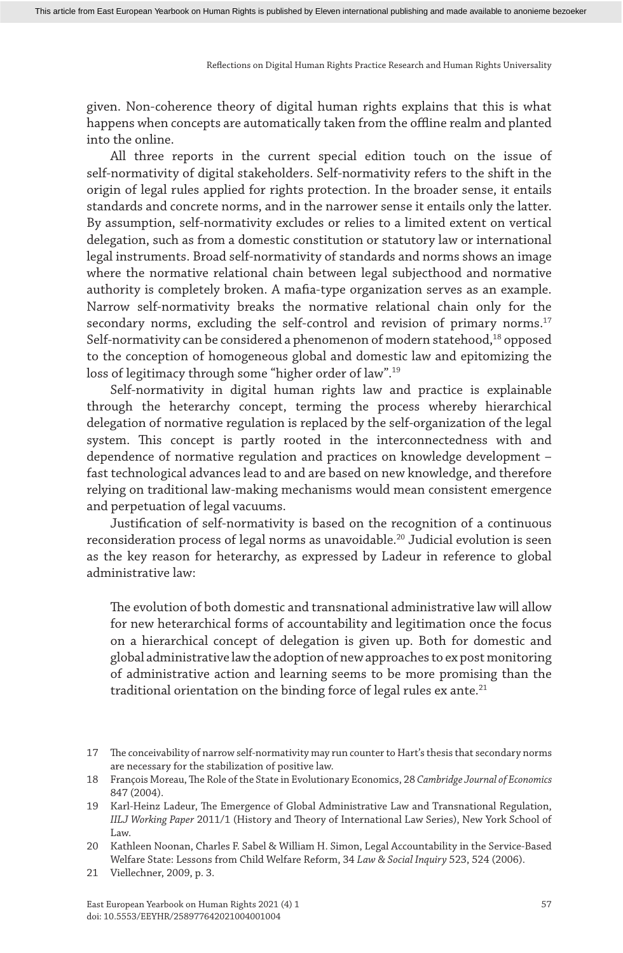given. Non-coherence theory of digital human rights explains that this is what happens when concepts are automatically taken from the offline realm and planted into the online.

All three reports in the current special edition touch on the issue of self-normativity of digital stakeholders. Self-normativity refers to the shift in the origin of legal rules applied for rights protection. In the broader sense, it entails standards and concrete norms, and in the narrower sense it entails only the latter. By assumption, self-normativity excludes or relies to a limited extent on vertical delegation, such as from a domestic constitution or statutory law or international legal instruments. Broad self-normativity of standards and norms shows an image where the normative relational chain between legal subjecthood and normative authority is completely broken. A mafia-type organization serves as an example. Narrow self-normativity breaks the normative relational chain only for the secondary norms, excluding the self-control and revision of primary norms.<sup>17</sup> Self-normativity can be considered a phenomenon of modern statehood,18 opposed to the conception of homogeneous global and domestic law and epitomizing the loss of legitimacy through some "higher order of law".19

Self-normativity in digital human rights law and practice is explainable through the heterarchy concept, terming the process whereby hierarchical delegation of normative regulation is replaced by the self-organization of the legal system. This concept is partly rooted in the interconnectedness with and dependence of normative regulation and practices on knowledge development – fast technological advances lead to and are based on new knowledge, and therefore relying on traditional law-making mechanisms would mean consistent emergence and perpetuation of legal vacuums.

Justification of self-normativity is based on the recognition of a continuous reconsideration process of legal norms as unavoidable.20 Judicial evolution is seen as the key reason for heterarchy, as expressed by Ladeur in reference to global administrative law:

The evolution of both domestic and transnational administrative law will allow for new heterarchical forms of accountability and legitimation once the focus on a hierarchical concept of delegation is given up. Both for domestic and global administrative law the adoption of new approaches to ex post monitoring of administrative action and learning seems to be more promising than the traditional orientation on the binding force of legal rules  $ex$  ante.<sup>21</sup>

<sup>17</sup> The conceivability of narrow self-normativity may run counter to Hart's thesis that secondary norms are necessary for the stabilization of positive law.

<sup>18</sup> François Moreau, The Role of the State in Evolutionary Economics, 28 *Cambridge Journal of Economics* 847 (2004).

<sup>19</sup> Karl-Heinz Ladeur, The Emergence of Global Administrative Law and Transnational Regulation, *IILJ Working Paper* 2011/1 (History and Theory of International Law Series), New York School of Law.

<sup>20</sup> Kathleen Noonan, Charles F. Sabel & William H. Simon, Legal Accountability in the Service-Based Welfare State: Lessons from Child Welfare Reform, 34 *Law & Social Inquiry* 523, 524 (2006).

<sup>21</sup> Viellechner, 2009, p. 3.